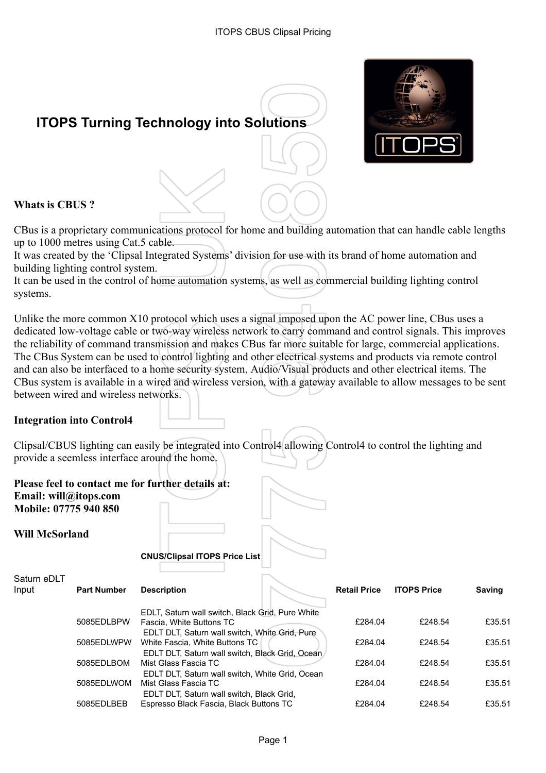

# **ITOPS Turning Technology into Solutions**

# **Whats is CBUS ?**

CBus is a proprietary communications protocol for home and building automation that can handle cable lengths up to 1000 metres using Cat.5 cable.

It was created by the 'Clipsal Integrated Systems' division for use with its brand of home automation and building lighting control system.

It can be used in the control of home automation systems, as well as commercial building lighting control systems.

Unlike the more common X10 protocol which uses a signal imposed upon the AC power line, CBus uses a dedicated low-voltage cable or two-way wireless network to carry command and control signals. This improves the reliability of command transmission and makes CBus far more suitable for large, commercial applications. The CBus System can be used to control lighting and other electrical systems and products via remote control and can also be interfaced to a home security system, Audio/Visual products and other electrical items. The CBus system is available in a wired and wireless version, with a gateway available to allow messages to be sent between wired and wireless networks.

#### **Integration into Control4**

Clipsal/CBUS lighting can easily be integrated into Control4 allowing Control4 to control the lighting and provide a seemless interface around the home.

**Please feel to contact me for further details at: Email: will@itops.com Mobile: 07775 940 850**

**Will McSorland**

#### **CNUS/Clipsal ITOPS Price List**

| Saturn eDLT |                    |                                                  |                     |                    |        |
|-------------|--------------------|--------------------------------------------------|---------------------|--------------------|--------|
| Input       | <b>Part Number</b> | <b>Description</b>                               | <b>Retail Price</b> | <b>ITOPS Price</b> | Saving |
|             |                    | EDLT, Saturn wall switch, Black Grid, Pure White |                     |                    |        |
|             | 5085EDLBPW         | Fascia, White Buttons TC                         | £284.04             | £248.54            | £35.51 |
|             |                    | EDLT DLT, Saturn wall switch, White Grid, Pure   |                     |                    |        |
|             | 5085EDLWPW         | White Fascia, White Buttons TC                   | £284.04             | £248.54            | £35.51 |
|             |                    | EDLT DLT, Saturn wall switch, Black Grid, Ocean  |                     |                    |        |
|             | 5085EDLBOM         | Mist Glass Fascia TC                             | £284.04             | £248.54            | £35.51 |
|             |                    | EDLT DLT, Saturn wall switch, White Grid, Ocean  |                     |                    |        |
|             | 5085EDLWOM         | Mist Glass Fascia TC                             | £284.04             | £248.54            | £35.51 |
|             |                    | EDLT DLT, Saturn wall switch, Black Grid,        |                     |                    |        |
|             | 5085EDLBEB         | Espresso Black Fascia, Black Buttons TC          | £284.04             | £248.54            | £35.51 |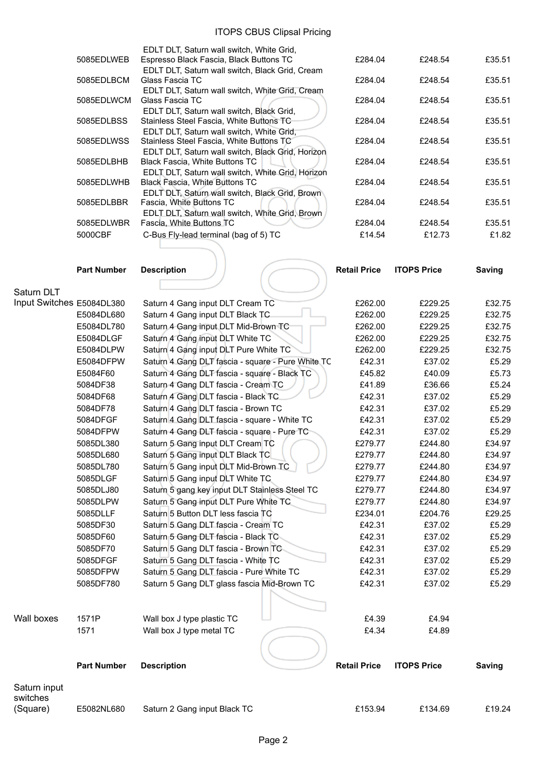|            | EDLT DLT, Saturn wall switch, White Grid,         |         |         |        |
|------------|---------------------------------------------------|---------|---------|--------|
| 5085EDLWEB | Espresso Black Fascia, Black Buttons TC           | £284.04 | £248.54 | £35.51 |
|            | EDLT DLT, Saturn wall switch, Black Grid, Cream   |         |         |        |
| 5085EDLBCM | Glass Fascia TC                                   | £284.04 | £248.54 | £35.51 |
|            | EDLT DLT, Saturn wall switch, White Grid, Cream   |         |         |        |
| 5085EDLWCM | Glass Fascia TC                                   | £284.04 | £248.54 | £35.51 |
|            | EDLT DLT, Saturn wall switch, Black Grid,         |         |         |        |
| 5085EDLBSS | Stainless Steel Fascia, White Buttons TC          | £284.04 | £248.54 | £35.51 |
|            | EDLT DLT, Saturn wall switch, White Grid,         |         |         |        |
| 5085EDLWSS | Stainless Steel Fascia, White Buttons TC          | £284.04 | £248.54 | £35.51 |
|            | EDLT DLT, Saturn wall switch, Black Grid, Horizon |         |         |        |
| 5085EDLBHB | <b>Black Fascia, White Buttons TC</b>             | £284.04 | £248.54 | £35.51 |
|            | EDLT DLT, Saturn wall switch, White Grid, Horizon |         |         |        |
| 5085EDLWHB | Black Fascia, White Buttons TC                    | £284.04 | £248.54 | £35.51 |
|            | EDLT DLT, Saturn wall switch, Black Grid, Brown   |         |         |        |
| 5085EDLBBR | Fascia, White Buttons TC                          | £284.04 | £248.54 | £35.51 |
|            | EDLT DLT, Saturn wall switch, White Grid, Brown   |         |         |        |
| 5085EDLWBR | Fascia, White Buttons TC                          | £284.04 | £248.54 | £35.51 |
| 5000CBF    | C-Bus Fly-lead terminal (bag of 5) TC             | £14.54  | £12.73  | £1.82  |
|            |                                                   |         |         |        |
|            |                                                   |         |         |        |

| £284.04           | £248.54           | £35.51          |
|-------------------|-------------------|-----------------|
| £284.04           | £248.54           | £35.51          |
| £284.04           | £248.54           | £35.51          |
| £284.04           | £248.54           | £35.51          |
| £284.04           | £248.54           | £35.51          |
| £284.04           | £248.54           | £35.51          |
| £284.04           | £248.54           | £35.51          |
| £284.04           | £248.54           | £35.51          |
| £284.04<br>£14.54 | £248.54<br>£12.73 | £35.51<br>£1.82 |

|                           | <b>Part Number</b> | <b>Description</b>                                | <b>Retail Price</b> | <b>ITOPS Price</b> | <b>Saving</b> |
|---------------------------|--------------------|---------------------------------------------------|---------------------|--------------------|---------------|
|                           |                    |                                                   |                     |                    |               |
| Saturn DLT                |                    |                                                   |                     |                    |               |
| Input Switches E5084DL380 |                    | Saturn 4 Gang input DLT Cream TC                  | £262.00             | £229.25            | £32.75        |
|                           | E5084DL680         | Saturn 4 Gang input DLT Black TC                  | £262.00             | £229.25            | £32.75        |
|                           | E5084DL780         | Saturn 4 Gang input DLT Mid-Brown TC              | £262.00             | £229.25            | £32.75        |
|                           | E5084DLGF          | Saturn 4 Gang input DLT White TC                  | £262.00             | £229.25            | £32.75        |
|                           | E5084DLPW          | Saturn 4 Gang input DLT Pure White TC             | £262.00             | £229.25            | £32.75        |
|                           | E5084DFPW          | Saturn 4 Gang DLT fascia - square - Pure White TC | £42.31              | £37.02             | £5.29         |
|                           | E5084F60           | Saturn 4 Gang DLT fascia - square - Black TC      | £45.82              | £40.09             | £5.73         |
|                           | 5084DF38           | Saturn 4 Gang DLT fascia - Cream TC               | £41.89              | £36.66             | £5.24         |
|                           | 5084DF68           | Saturn 4 Gang DLT fascia - Black TC               | £42.31              | £37.02             | £5.29         |
|                           | 5084DF78           | Saturn 4 Gang DLT fascia - Brown TC               | £42.31              | £37.02             | £5.29         |
|                           | 5084DFGF           | Saturn 4 Gang DLT fascia - square - White TC      | £42.31              | £37.02             | £5.29         |
|                           | 5084DFPW           | Saturn 4 Gang DLT fascia - square - Pure TC       | £42.31              | £37.02             | £5.29         |
|                           | 5085DL380          | Saturn 5 Gang input DLT Cream TC                  | £279.77             | £244.80            | £34.97        |
|                           | 5085DL680          | Saturn 5 Gang input DLT Black TC                  | £279.77             | £244.80            | £34.97        |
|                           | 5085DL780          | Saturn 5 Gang input DLT Mid-Brown TC              | £279.77             | £244.80            | £34.97        |
|                           | 5085DLGF           | Saturn 5 Gang input DLT White TC                  | £279.77             | £244.80            | £34.97        |
|                           | 5085DLJ80          | Saturn 5 gang key input DLT Stainless Steel TC    | £279.77             | £244.80            | £34.97        |
|                           | 5085DLPW           | Saturn 5 Gang input DLT Pure White TC             | £279.77             | £244.80            | £34.97        |
|                           | 5085DLLF           | Saturn 5 Button DLT less fascia TC                | £234.01             | £204.76            | £29.25        |
|                           | 5085DF30           | Saturn 5 Gang DLT fascia - Cream TC               | £42.31              | £37.02             | £5.29         |
|                           | 5085DF60           | Saturn 5 Gang DLT fascia - Black TC               | £42.31              | £37.02             | £5.29         |
|                           | 5085DF70           | Saturn 5 Gang DLT fascia - Brown TC               | £42.31              | £37.02             | £5.29         |
|                           | 5085DFGF           | Saturn 5 Gang DLT fascia - White TC               | £42.31              | £37.02             | £5.29         |
|                           | 5085DFPW           | Saturn 5 Gang DLT fascia - Pure White TC          | £42.31              | £37.02             | £5.29         |
|                           | 5085DF780          | Saturn 5 Gang DLT glass fascia Mid-Brown TC       | £42.31              | £37.02             | £5.29         |
|                           |                    |                                                   |                     |                    |               |
|                           |                    |                                                   |                     |                    |               |
| Wall boxes                | 1571P              | Wall box J type plastic TC                        | £4.39               | £4.94              |               |
|                           | 1571               | Wall box J type metal TC                          | £4.34               | £4.89              |               |
|                           |                    |                                                   |                     |                    |               |
|                           | <b>Part Number</b> | <b>Description</b>                                | <b>Retail Price</b> | <b>ITOPS Price</b> | <b>Saving</b> |
| Saturn input              |                    |                                                   |                     |                    |               |
| switches<br>(Square)      | E5082NL680         | Saturn 2 Gang input Black TC                      | £153.94             | £134.69            | £19.24        |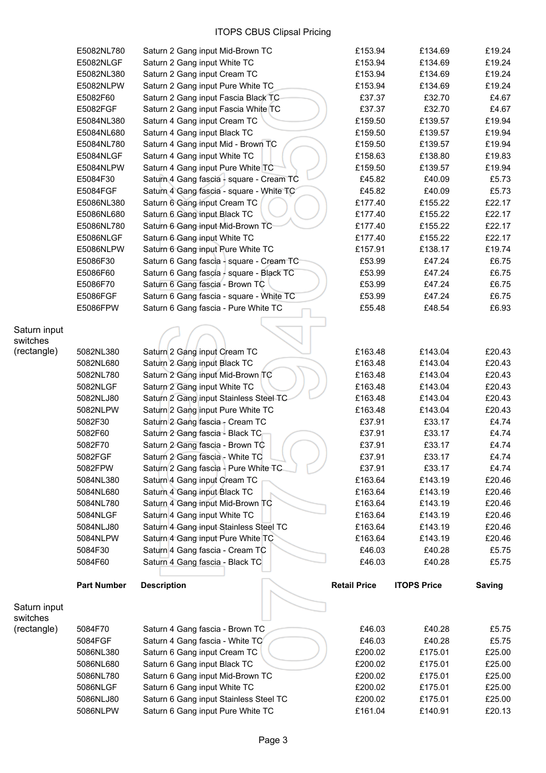|                          | E5082NL780         | Saturn 2 Gang input Mid-Brown TC         | £153.94             | £134.69            | £19.24 |
|--------------------------|--------------------|------------------------------------------|---------------------|--------------------|--------|
|                          | E5082NLGF          | Saturn 2 Gang input White TC             | £153.94             | £134.69            | £19.24 |
|                          | E5082NL380         | Saturn 2 Gang input Cream TC             | £153.94             | £134.69            | £19.24 |
|                          | E5082NLPW          | Saturn 2 Gang input Pure White TC        | £153.94             | £134.69            | £19.24 |
|                          | E5082F60           | Saturn 2 Gang input Fascia Black TC      | £37.37              | £32.70             | £4.67  |
|                          | E5082FGF           | Saturn 2 Gang input Fascia White TC      | £37.37              | £32.70             | £4.67  |
|                          | E5084NL380         | Saturn 4 Gang input Cream TC             | £159.50             | £139.57            | £19.94 |
|                          | E5084NL680         | Saturn 4 Gang input Black TC             | £159.50             | £139.57            | £19.94 |
|                          | E5084NL780         | Saturn 4 Gang input Mid - Brown TC       | £159.50             | £139.57            | £19.94 |
|                          | E5084NLGF          | Saturn 4 Gang input White TC             | £158.63             | £138.80            | £19.83 |
|                          | E5084NLPW          | Saturn 4 Gang input Pure White TC        | £159.50             | £139.57            | £19.94 |
|                          | E5084F30           | Saturn 4 Gang fascia - square - Cream TC | £45.82              | £40.09             | £5.73  |
|                          | E5084FGF           | Saturn 4 Gang fascia - square - White TC | £45.82              | £40.09             | £5.73  |
|                          | E5086NL380         | Saturn 6 Gang input Cream TC             | £177.40             | £155.22            | £22.17 |
|                          | E5086NL680         | Saturn 6 Gang input Black TC             | £177.40             | £155.22            | £22.17 |
|                          | E5086NL780         | Saturn 6 Gang input Mid-Brown TC         | £177.40             | £155.22            | £22.17 |
|                          | E5086NLGF          | Saturn 6 Gang input White TC             | £177.40             | £155.22            | £22.17 |
|                          | E5086NLPW          |                                          | £157.91             | £138.17            | £19.74 |
|                          |                    | Saturn 6 Gang input Pure White TC        |                     |                    |        |
|                          | E5086F30           | Saturn 6 Gang fascia - square - Cream TC | £53.99              | £47.24             | £6.75  |
|                          | E5086F60           | Saturn 6 Gang fascia - square - Black TC | £53.99              | £47.24             | £6.75  |
|                          | E5086F70           | Saturn 6 Gang fascia - Brown TC          | £53.99              | £47.24             | £6.75  |
|                          | E5086FGF           | Saturn 6 Gang fascia - square - White TC | £53.99              | £47.24             | £6.75  |
|                          | E5086FPW           | Saturn 6 Gang fascia - Pure White TC     | £55.48              | £48.54             | £6.93  |
|                          |                    |                                          |                     |                    |        |
| Saturn input<br>switches |                    |                                          |                     |                    |        |
| (rectangle)              | 5082NL380          | Saturn 2 Gang input Cream TC             | £163.48             | £143.04            | £20.43 |
|                          | 5082NL680          | Saturn 2 Gang input Black TC             | £163.48             | £143.04            | £20.43 |
|                          | 5082NL780          | Saturn 2 Gang input Mid-Brown TC         | £163.48             | £143.04            | £20.43 |
|                          | 5082NLGF           | Saturn 2 Gang input White TC             | £163.48             | £143.04            | £20.43 |
|                          |                    |                                          |                     |                    |        |
|                          | 5082NLJ80          | Saturn 2 Gang input Stainless Steel TC   | £163.48             | £143.04            | £20.43 |
|                          | 5082NLPW           | Saturn 2 Gang input Pure White TC        | £163.48             | £143.04            | £20.43 |
|                          | 5082F30            | Saturn 2 Gang fascia - Cream TC          | £37.91              | £33.17             | £4.74  |
|                          | 5082F60            | Saturn 2 Gang fascia - Black TC          | £37.91              | £33.17             | £4.74  |
|                          | 5082F70            | Saturn 2 Gang fascia - Brown TC          | £37.91              | £33.17             | £4.74  |
|                          | 5082FGF            | Saturn 2 Gang fascia - White TC          | £37.91              | £33.17             | £4.74  |
|                          | 5082FPW            | Saturn 2 Gang fascia - Pure White TC     | £37.91              | £33.17             | £4.74  |
|                          | 5084NL380          | Saturn 4 Gang input Cream TC             | £163.64             | £143.19            | £20.46 |
|                          | 5084NL680          | Saturn 4 Gang input Black TC             | £163.64             | £143.19            | £20.46 |
|                          | 5084NL780          | Saturn 4 Gang input Mid-Brown TC         | £163.64             | £143.19            | £20.46 |
|                          | 5084NLGF           | Saturn 4 Gang input White TC             | £163.64             | £143.19            | £20.46 |
|                          | 5084NLJ80          | Saturn 4 Gang input Stainless Steel TC   | £163.64             | £143.19            | £20.46 |
|                          | 5084NLPW           | Saturn 4 Gang input Pure White TC        | £163.64             | £143.19            | £20.46 |
|                          | 5084F30            | Saturn 4 Gang fascia - Cream TC          | £46.03              | £40.28             | £5.75  |
|                          | 5084F60            | Saturn 4 Gang fascia - Black TC          | £46.03              | £40.28             | £5.75  |
|                          |                    |                                          |                     |                    |        |
|                          | <b>Part Number</b> | <b>Description</b>                       | <b>Retail Price</b> | <b>ITOPS Price</b> | Saving |
| Saturn input             |                    |                                          |                     |                    |        |
| switches                 |                    |                                          |                     |                    |        |
| (rectangle)              | 5084F70            | Saturn 4 Gang fascia - Brown TC          | £46.03              | £40.28             | £5.75  |
|                          | 5084FGF            | Saturn 4 Gang fascia - White TC          | £46.03              | £40.28             | £5.75  |
|                          | 5086NL380          | Saturn 6 Gang input Cream TC             | £200.02             | £175.01            | £25.00 |
|                          | 5086NL680          | Saturn 6 Gang input Black TC             | £200.02             | £175.01            | £25.00 |
|                          | 5086NL780          | Saturn 6 Gang input Mid-Brown TC         | £200.02             | £175.01            | £25.00 |
|                          | 5086NLGF           | Saturn 6 Gang input White TC             | £200.02             | £175.01            | £25.00 |
|                          | 5086NLJ80          | Saturn 6 Gang input Stainless Steel TC   | £200.02             | £175.01            | £25.00 |
|                          | 5086NLPW           | Saturn 6 Gang input Pure White TC        | £161.04             | £140.91            | £20.13 |
|                          |                    |                                          |                     |                    |        |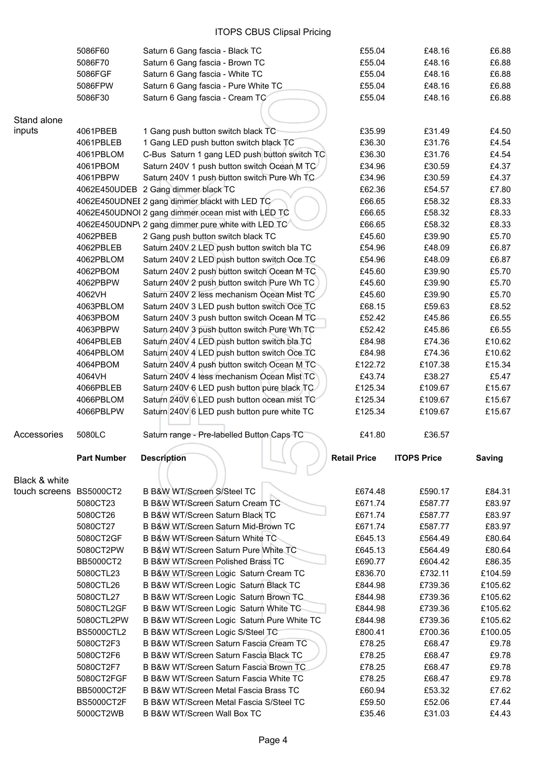|                         | 5086F60            | Saturn 6 Gang fascia - Black TC                    | £55.04              | £48.16             | £6.88   |
|-------------------------|--------------------|----------------------------------------------------|---------------------|--------------------|---------|
|                         | 5086F70            | Saturn 6 Gang fascia - Brown TC                    | £55.04              | £48.16             | £6.88   |
|                         | 5086FGF            | Saturn 6 Gang fascia - White TC                    | £55.04              | £48.16             | £6.88   |
|                         | 5086FPW            | Saturn 6 Gang fascia - Pure White TC               | £55.04              | £48.16             | £6.88   |
|                         | 5086F30            | Saturn 6 Gang fascia - Cream TC                    | £55.04              | £48.16             | £6.88   |
|                         |                    |                                                    |                     |                    |         |
| Stand alone             |                    |                                                    |                     |                    |         |
| inputs                  | 4061PBEB           | 1 Gang push button switch black TC                 | £35.99              | £31.49             | £4.50   |
|                         | 4061PBLEB          | 1 Gang LED push button switch black TC             | £36.30              | £31.76             | £4.54   |
|                         | 4061PBLOM          | C-Bus Saturn 1 gang LED push button switch TC      | £36.30              | £31.76             | £4.54   |
|                         | 4061PBOM           | Saturn 240V 1 push button switch Ocean M TC        | £34.96              | £30.59             | £4.37   |
|                         | 4061PBPW           | Saturn 240V 1 push button switch Pure Wh TC        | £34.96              | £30.59             | £4.37   |
|                         |                    | 4062E450UDEB 2 Gang dimmer black TC                | £62.36              | £54.57             | £7.80   |
|                         |                    | 4062E450UDNEI 2 gang dimmer blackt with LED TC     | £66.65              | £58.32             | £8.33   |
|                         |                    | 4062E450UDNOI 2 gang dimmer ocean mist with LED TC | £66.65              | £58.32             | £8.33   |
|                         |                    | 4062E450UDNP\ 2 gang dimmer pure white with LED TC | £66.65              | £58.32             | £8.33   |
|                         | 4062PBEB           | 2 Gang push button switch black TC                 | £45.60              | £39.90             | £5.70   |
|                         | 4062PBLEB          | Saturn 240V 2 LED push button switch bla TC        | £54.96              | £48.09             | £6.87   |
|                         | 4062PBLOM          | Saturn 240V 2 LED push button switch Oce TC        | £54.96              | £48.09             | £6.87   |
|                         | 4062PBOM           | Saturn 240V 2 push button switch Ocean M TC        | £45.60              | £39.90             | £5.70   |
|                         | 4062PBPW           | Saturn 240V 2 push button switch Pure Wh TC        | £45.60              | £39.90             | £5.70   |
|                         | 4062VH             | Saturn 240V 2 less mechanism Ocean Mist TC         | £45.60              | £39.90             | £5.70   |
|                         | 4063PBLOM          | Saturn 240V 3 LED push button switch Oce TC        | £68.15              | £59.63             | £8.52   |
|                         | 4063PBOM           | Saturn 240V 3 push button switch Ocean M TC        | £52.42              | £45.86             | £6.55   |
|                         | 4063PBPW           | Saturn 240V 3 push button switch Pure Wh TC        | £52.42              | £45.86             | £6.55   |
|                         | 4064PBLEB          | Saturn 240V 4 LED push button switch bla TC        | £84.98              | £74.36             | £10.62  |
|                         | 4064PBLOM          | Saturn 240V 4 LED push button switch Oce TC        | £84.98              | £74.36             | £10.62  |
|                         | 4064PBOM           | Saturn 240V 4 push button switch Ocean M TC        | £122.72             | £107.38            | £15.34  |
|                         | 4064VH             | Saturn 240V 4 less mechanism Ocean Mist TC         | £43.74              | £38.27             | £5.47   |
|                         | 4066PBLEB          | Saturn 240V 6 LED push button pure black TC        | £125.34             | £109.67            | £15.67  |
|                         | 4066PBLOM          | Saturn 240V 6 LED push button ocean mist TC        | £125.34             | £109.67            | £15.67  |
|                         | 4066PBLPW          | Saturn 240V 6 LED push button pure white TC        | £125.34             | £109.67            | £15.67  |
|                         |                    |                                                    |                     |                    |         |
| Accessories             | 5080LC             | Saturn range - Pre-labelled Button Caps TC         | £41.80              | £36.57             |         |
|                         | <b>Part Number</b> | <b>Description</b>                                 | <b>Retail Price</b> | <b>ITOPS Price</b> | Saving  |
|                         |                    |                                                    |                     |                    |         |
| Black & white           |                    |                                                    |                     |                    |         |
| touch screens BS5000CT2 |                    | B B&W WT/Screen S/Steel TC                         | £674.48             | £590.17            | £84.31  |
|                         | 5080CT23           | B B&W WT/Screen Saturn Cream TC                    | £671.74             | £587.77            | £83.97  |
|                         | 5080CT26           | B B&W WT/Screen Saturn Black TC                    | £671.74             | £587.77            | £83.97  |
|                         | 5080CT27           | B B&W WT/Screen Saturn Mid-Brown TC                | £671.74             | £587.77            | £83.97  |
|                         | 5080CT2GF          | B B&W WT/Screen Saturn White TC                    | £645.13             | £564.49            | £80.64  |
|                         | 5080CT2PW          | B B&W WT/Screen Saturn Pure White TC               | £645.13             | £564.49            | £80.64  |
|                         | <b>BB5000CT2</b>   | B B&W WT/Screen Polished Brass TC                  | £690.77             | £604.42            | £86.35  |
|                         | 5080CTL23          | B B&W WT/Screen Logic Saturn Cream TC              | £836.70             | £732.11            | £104.59 |
|                         | 5080CTL26          | B B&W WT/Screen Logic Saturn Black TC              | £844.98             | £739.36            | £105.62 |
|                         | 5080CTL27          | B B&W WT/Screen Logic Saturn Brown TC              | £844.98             | £739.36            | £105.62 |
|                         | 5080CTL2GF         | B B&W WT/Screen Logic Saturn White TC              | £844.98             | £739.36            | £105.62 |
|                         | 5080CTL2PW         | B B&W WT/Screen Logic Saturn Pure White TC         | £844.98             | £739.36            | £105.62 |
|                         | <b>BS5000CTL2</b>  | B B&W WT/Screen Logic S/Steel TC                   | £800.41             | £700.36            | £100.05 |
|                         | 5080CT2F3          | B B&W WT/Screen Saturn Fascia Cream TC             | £78.25              | £68.47             | £9.78   |
|                         | 5080CT2F6          | B B&W WT/Screen Saturn Fascia Black TC             | £78.25              | £68.47             | £9.78   |
|                         | 5080CT2F7          | B B&W WT/Screen Saturn Fascia Brown TC             | £78.25              | £68.47             | £9.78   |
|                         | 5080CT2FGF         | B B&W WT/Screen Saturn Fascia White TC             | £78.25              | £68.47             | £9.78   |
|                         | <b>BB5000CT2F</b>  | B B&W WT/Screen Metal Fascia Brass TC              | £60.94              | £53.32             | £7.62   |
|                         | <b>BS5000CT2F</b>  | B B&W WT/Screen Metal Fascia S/Steel TC            | £59.50              | £52.06             | £7.44   |
|                         | 5000CT2WB          | B B&W WT/Screen Wall Box TC                        | £35.46              | £31.03             | £4.43   |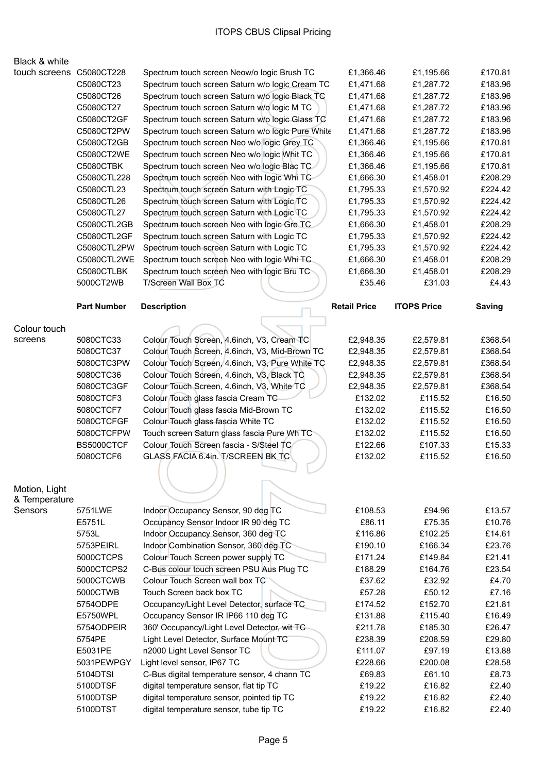| BIACK & WHILE            |                    |                                                   |                     |                    |               |
|--------------------------|--------------------|---------------------------------------------------|---------------------|--------------------|---------------|
| touch screens C5080CT228 |                    | Spectrum touch screen Neow/o logic Brush TC       | £1,366.46           | £1,195.66          | £170.81       |
|                          | C5080CT23          | Spectrum touch screen Saturn w/o logic Cream TC   | £1,471.68           | £1,287.72          | £183.96       |
|                          | C5080CT26          | Spectrum touch screen Saturn w/o logic Black TC   | £1,471.68           | £1,287.72          | £183.96       |
|                          | C5080CT27          | Spectrum touch screen Saturn w/o logic M TC       | £1,471.68           | £1,287.72          | £183.96       |
|                          | C5080CT2GF         | Spectrum touch screen Saturn w/o logic Glass TC   | £1,471.68           | £1,287.72          | £183.96       |
|                          | C5080CT2PW         | Spectrum touch screen Saturn w/o logic Pure White | £1,471.68           | £1,287.72          | £183.96       |
|                          | C5080CT2GB         | Spectrum touch screen Neo w/o logic Grey TC       | £1,366.46           | £1,195.66          | £170.81       |
|                          | C5080CT2WE         | Spectrum touch screen Neo w/o logic Whit TC       | £1,366.46           | £1,195.66          | £170.81       |
|                          | <b>C5080CTBK</b>   | Spectrum touch screen Neo w/o logic Blac TC       | £1,366.46           | £1,195.66          | £170.81       |
|                          | C5080CTL228        | Spectrum touch screen Neo with logic Whi TC       | £1,666.30           | £1,458.01          | £208.29       |
|                          | C5080CTL23         | Spectrum touch screen Saturn with Logic TC        | £1,795.33           | £1,570.92          | £224.42       |
|                          | C5080CTL26         | Spectrum touch screen Saturn with Logic TC        | £1,795.33           | £1,570.92          | £224.42       |
|                          | C5080CTL27         | Spectrum touch screen Saturn with Logic TC        | £1,795.33           | £1,570.92          | £224.42       |
|                          | C5080CTL2GB        | Spectrum touch screen Neo with logic Gre TC       | £1,666.30           | £1,458.01          | £208.29       |
|                          | C5080CTL2GF        | Spectrum touch screen Saturn with Logic TC        | £1,795.33           | £1,570.92          | £224.42       |
|                          | C5080CTL2PW        | Spectrum touch screen Saturn with Logic TC        | £1,795.33           | £1,570.92          | £224.42       |
|                          | C5080CTL2WE        | Spectrum touch screen Neo with logic Whi TC.      | £1,666.30           | £1,458.01          | £208.29       |
|                          | C5080CTLBK         | Spectrum touch screen Neo with logic Bru TC       | £1,666.30           | £1,458.01          | £208.29       |
|                          | 5000CT2WB          | T/Screen Wall Box TC                              | £35.46              | £31.03             | £4.43         |
|                          | <b>Part Number</b> | <b>Description</b>                                | <b>Retail Price</b> | <b>ITOPS Price</b> | <b>Saving</b> |
|                          |                    |                                                   |                     |                    |               |
| Colour touch             |                    |                                                   |                     |                    |               |
| screens                  | 5080CTC33          | Colour Touch Screen, 4.6inch, V3, Cream TC        | £2,948.35           | £2,579.81          | £368.54       |
|                          | 5080CTC37          | Colour Touch Screen, 4.6inch, V3, Mid-Brown TC    | £2,948.35           | £2,579.81          | £368.54       |
|                          | 5080CTC3PW         | Colour Touch Screen, 4.6inch, V3, Pure White TC   | £2,948.35           | £2,579.81          | £368.54       |
|                          | 5080CTC36          | Colour Touch Screen, 4.6inch, V3, Black TC        | £2,948.35           | £2,579.81          | £368.54       |
|                          | 5080CTC3GF         | Colour Touch Screen, 4.6inch, V3, White TC        | £2,948.35           | £2,579.81          | £368.54       |
|                          | 5080CTCF3          | Colour Touch glass fascia Cream TC                | £132.02             | £115.52            | £16.50        |
|                          | 5080CTCF7          | Colour Touch glass fascia Mid-Brown TC            | £132.02             | £115.52            | £16.50        |
|                          | 5080CTCFGF         | Colour Touch glass fascia White TC                | £132.02             | £115.52            | £16.50        |
|                          | 5080CTCFPW         | Touch screen Saturn glass fascia Pure Wh TC       | £132.02             | £115.52            | £16.50        |
|                          | BS5000CTCF         | Colour Touch Screen fascia - S/Steel TC           | £122.66             | £107.33            | £15.33        |
|                          | 5080CTCF6          | GLASS FACIA 6.4in. T/SCREEN BK TC                 | £132.02             | £115.52            | £16.50        |
|                          |                    |                                                   |                     |                    |               |
| Motion, Light            |                    |                                                   |                     |                    |               |
| & Temperature            |                    |                                                   |                     |                    |               |
| Sensors                  | 5751LWE            | Indoor Occupancy Sensor, 90 deg TC                | £108.53             | £94.96             | £13.57        |
|                          | E5751L             | Occupancy Sensor Indoor IR 90 deg TC              | £86.11              | £75.35             | £10.76        |
|                          | 5753L              | Indoor Occupancy Sensor, 360 deg TC               | £116.86             | £102.25            | £14.61        |
|                          | 5753PEIRL          | Indoor Combination Sensor, 360 deg TC             | £190.10             | £166.34            | £23.76        |
|                          | 5000CTCPS          | Colour Touch Screen power supply TC               | £171.24             | £149.84            | £21.41        |
|                          | 5000CTCPS2         | C-Bus colour touch screen PSU Aus Plug TC         | £188.29             | £164.76            | £23.54        |
|                          | 5000CTCWB          | Colour Touch Screen wall box TC                   | £37.62              | £32.92             | £4.70         |
|                          | 5000CTWB           | Touch Screen back box TC                          | £57.28              | £50.12             | £7.16         |
|                          | 5754ODPE           | Occupancy/Light Level Detector, surface TC        | £174.52             | £152.70            | £21.81        |
|                          | E5750WPL           | Occupancy Sensor IR IP66 110 deg TC               | £131.88             | £115.40            | £16.49        |
|                          | 5754ODPEIR         | 360' Occupancy/Light Level Detector, wit TC       | £211.78             | £185.30            | £26.47        |
|                          | 5754PE             | Light Level Detector, Surface Mount TC            | £238.39             | £208.59            | £29.80        |
|                          | E5031PE            | n2000 Light Level Sensor TC                       | £111.07             | £97.19             | £13.88        |
|                          | 5031PEWPGY         | Light level sensor, IP67 TC                       | £228.66             | £200.08            | £28.58        |
|                          | 5104DTSI           | C-Bus digital temperature sensor, 4 chann TC      | £69.83              | £61.10             | £8.73         |
|                          | 5100DTSF           | digital temperature sensor, flat tip TC           | £19.22              | £16.82             | £2.40         |
|                          | 5100DTSP           | digital temperature sensor, pointed tip TC        | £19.22              | £16.82             | £2.40         |
|                          | 5100DTST           | digital temperature sensor, tube tip TC           | £19.22              | £16.82             | £2.40         |
|                          |                    |                                                   |                     |                    |               |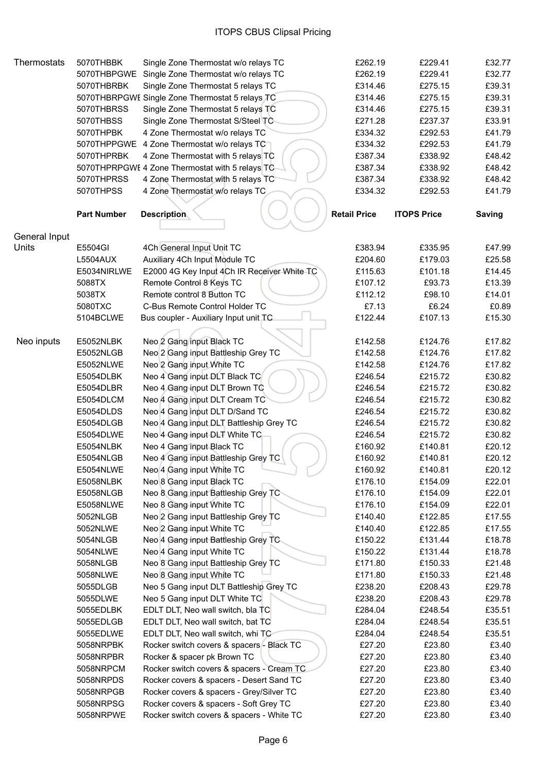| <b>Thermostats</b> | 5070THBBK          | Single Zone Thermostat w/o relays TC            | £262.19             | £229.41            | £32.77        |
|--------------------|--------------------|-------------------------------------------------|---------------------|--------------------|---------------|
|                    | 5070THBPGWE        | Single Zone Thermostat w/o relays TC            | £262.19             | £229.41            | £32.77        |
|                    | 5070THBRBK         | Single Zone Thermostat 5 relays TC              | £314.46             | £275.15            | £39.31        |
|                    |                    | 5070THBRPGWE Single Zone Thermostat 5 relays TC | £314.46             | £275.15            | £39.31        |
|                    | 5070THBRSS         | Single Zone Thermostat 5 relays TC              | £314.46             | £275.15            | £39.31        |
|                    | 5070THBSS          | Single Zone Thermostat S/Steel TC               | £271.28             | £237.37            | £33.91        |
|                    | 5070THPBK          | 4 Zone Thermostat w/o relays TC                 | £334.32             | £292.53            | £41.79        |
|                    | 5070THPPGWE        | 4 Zone Thermostat w/o relays TC                 | £334.32             | £292.53            | £41.79        |
|                    | 5070THPRBK         | 4 Zone Thermostat with 5 relays TC              | £387.34             | £338.92            | £48.42        |
|                    |                    | 5070THPRPGWE 4 Zone Thermostat with 5 relays TC | £387.34             | £338.92            | £48.42        |
|                    | 5070THPRSS         | 4 Zone Thermostat with 5 relays TC              | £387.34             | £338.92            | £48.42        |
|                    | 5070THPSS          | 4 Zone Thermostat w/o relays TC                 | £334.32             | £292.53            | £41.79        |
|                    |                    |                                                 |                     |                    |               |
|                    | <b>Part Number</b> | <b>Description</b>                              | <b>Retail Price</b> | <b>ITOPS Price</b> | <b>Saving</b> |
|                    |                    |                                                 |                     |                    |               |
| General Input      |                    |                                                 |                     |                    |               |
| Units              | E5504GI            | 4Ch General Input Unit TC                       | £383.94             | £335.95            | £47.99        |
|                    | <b>L5504AUX</b>    | Auxiliary 4Ch Input Module TC                   | £204.60             | £179.03            | £25.58        |
|                    | E5034NIRLWE        | E2000 4G Key Input 4Ch IR Receiver White TC     | £115.63             | £101.18            | £14.45        |
|                    | 5088TX             | Remote Control 8 Keys TC                        | £107.12             | £93.73             | £13.39        |
|                    | 5038TX             | Remote control 8 Button TC                      | £112.12             | £98.10             | £14.01        |
|                    | 5080TXC            | C-Bus Remote Control Holder TC                  | £7.13               | £6.24              | £0.89         |
|                    | 5104BCLWE          | Bus coupler - Auxiliary Input unit TC           | £122.44             | £107.13            | £15.30        |
|                    |                    |                                                 |                     |                    |               |
| Neo inputs         | E5052NLBK          | Neo 2 Gang input Black TC                       | £142.58             | £124.76            | £17.82        |
|                    | E5052NLGB          | Neo 2 Gang input Battleship Grey TC             | £142.58             | £124.76            | £17.82        |
|                    | E5052NLWE          | Neo 2 Gang input White TC                       | £142.58             | £124.76            | £17.82        |
|                    | E5054DLBK          | Neo 4 Gang input DLT Black TC                   | £246.54             | £215.72            | £30.82        |
|                    | E5054DLBR          | Neo 4 Gang input DLT Brown TC                   | £246.54             | £215.72            | £30.82        |
|                    | E5054DLCM          | Neo 4 Gang input DLT Cream TC                   | £246.54             | £215.72            | £30.82        |
|                    |                    | Neo 4 Gang input DLT D/Sand TC                  |                     |                    | £30.82        |
|                    | E5054DLDS          |                                                 | £246.54             | £215.72            |               |
|                    | E5054DLGB          | Neo 4 Gang input DLT Battleship Grey TC         | £246.54             | £215.72            | £30.82        |
|                    | E5054DLWE          | Neo 4 Gang input DLT White TC                   | £246.54             | £215.72            | £30.82        |
|                    | E5054NLBK          | Neo 4 Gang input Black TC                       | £160.92             | £140.81            | £20.12        |
|                    | E5054NLGB          | Neo 4 Gang input Battleship Grey TC             | £160.92             | £140.81            | £20.12        |
|                    | E5054NLWE          | Neo 4 Gang input White TC                       | £160.92             | £140.81            | £20.12        |
|                    | E5058NLBK          | Neo 8 Gang input Black TC                       | £176.10             | £154.09            | £22.01        |
|                    | E5058NLGB          | Neo 8 Gang input Battleship Grey TC             | £176.10             | £154.09            | £22.01        |
|                    | E5058NLWE          | Neo 8 Gang input White TC                       | £176.10             | £154.09            | £22.01        |
|                    | 5052NLGB           | Neo 2 Gang input Battleship Grey TC             | £140.40             | £122.85            | £17.55        |
|                    | 5052NLWE           | Neo 2 Gang input White TC                       | £140.40             | £122.85            | £17.55        |
|                    | 5054NLGB           | Neo 4 Gang input Battleship Grey TC             | £150.22             | £131.44            | £18.78        |
|                    | 5054NLWE           | Neo 4 Gang input White TC                       | £150.22             | £131.44            | £18.78        |
|                    | 5058NLGB           | Neo 8 Gang input Battleship Grey TC             | £171.80             | £150.33            | £21.48        |
|                    | 5058NLWE           | Neo 8 Gang input White TC                       | £171.80             | £150.33            | £21.48        |
|                    | 5055DLGB           | Neo 5 Gang input DLT Battleship Grey TC         | £238.20             | £208.43            | £29.78        |
|                    | 5055DLWE           | Neo 5 Gang input DLT White TC                   | £238.20             | £208.43            | £29.78        |
|                    | 5055EDLBK          | EDLT DLT, Neo wall switch, bla TC               | £284.04             | £248.54            | £35.51        |
|                    | 5055EDLGB          | EDLT DLT, Neo wall switch, bat TC               | £284.04             | £248.54            | £35.51        |
|                    | 5055EDLWE          | EDLT DLT, Neo wall switch, whi TC               | £284.04             | £248.54            | £35.51        |
|                    | 5058NRPBK          | Rocker switch covers & spacers - Black TC       | £27.20              | £23.80             | £3.40         |
|                    | 5058NRPBR          | Rocker & spacer pk Brown TC                     | £27.20              | £23.80             | £3.40         |
|                    | 5058NRPCM          | Rocker switch covers & spacers - Cream TC       | £27.20              | £23.80             | £3.40         |
|                    | 5058NRPDS          | Rocker covers & spacers - Desert Sand TC        | £27.20              | £23.80             | £3.40         |
|                    | 5058NRPGB          | Rocker covers & spacers - Grey/Silver TC        | £27.20              | £23.80             | £3.40         |
|                    | 5058NRPSG          | Rocker covers & spacers - Soft Grey TC          | £27.20              | £23.80             | £3.40         |
|                    | 5058NRPWE          | Rocker switch covers & spacers - White TC       | £27.20              | £23.80             | £3.40         |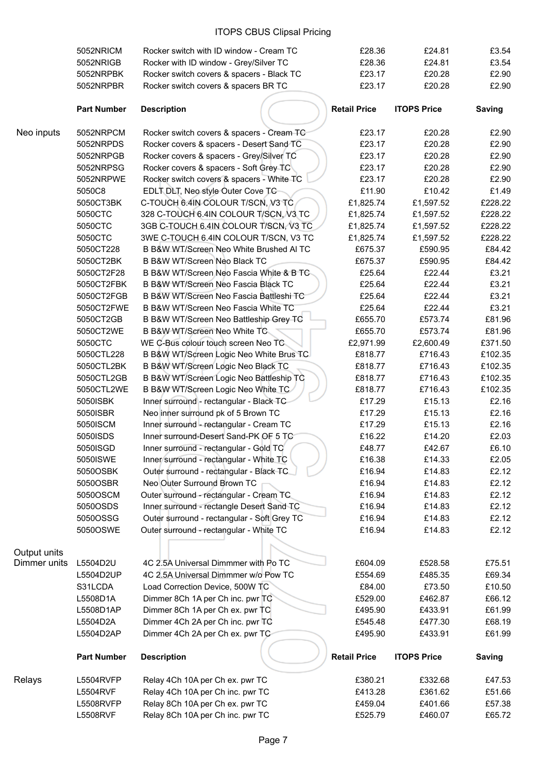|              | 5052NRICM          | Rocker switch with ID window - Cream TC     | £28.36              | £24.81             | £3.54         |
|--------------|--------------------|---------------------------------------------|---------------------|--------------------|---------------|
|              | 5052NRIGB          | Rocker with ID window - Grey/Silver TC      | £28.36              | £24.81             | £3.54         |
|              | 5052NRPBK          | Rocker switch covers & spacers - Black TC   | £23.17              | £20.28             | £2.90         |
|              | 5052NRPBR          | Rocker switch covers & spacers BR TC        | £23.17              | £20.28             | £2.90         |
|              | <b>Part Number</b> | <b>Description</b>                          | <b>Retail Price</b> | <b>ITOPS Price</b> | <b>Saving</b> |
| Neo inputs   | 5052NRPCM          | Rocker switch covers & spacers - Cream TC   | £23.17              | £20.28             | £2.90         |
|              | 5052NRPDS          | Rocker covers & spacers - Desert Sand TC    | £23.17              | £20.28             | £2.90         |
|              | 5052NRPGB          | Rocker covers & spacers - Grey/Silver TC    | £23.17              | £20.28             | £2.90         |
|              | 5052NRPSG          | Rocker covers & spacers - Soft Grey TC      | £23.17              | £20.28             | £2.90         |
|              | 5052NRPWE          | Rocker switch covers & spacers - White TC   | £23.17              | £20.28             | £2.90         |
|              | 5050C8             | EDLT DLT, Neo style Outer Cove TC           | £11.90              | £10.42             | £1.49         |
|              | 5050CT3BK          | C-TOUCH 6.4IN COLOUR T/SCN, V3 TC           | £1,825.74           | £1,597.52          | £228.22       |
|              | 5050CTC            | 328 C-TOUCH 6.4IN COLOUR T/SCN, V3 TC       | £1,825.74           | £1,597.52          | £228.22       |
|              | 5050CTC            | 3GB C-TOUCH 6.4IN COLOUR T/SCN, V3 TC       | £1,825.74           | £1,597.52          | £228.22       |
|              | 5050CTC            | 3WE C-TOUCH 6.4IN COLOUR T/SCN, V3 TC       | £1,825.74           | £1,597.52          | £228.22       |
|              | 5050CT228          | B B&W WT/Screen Neo White Brushed AI TC     | £675.37             | £590.95            | £84.42        |
|              | 5050CT2BK          | B B&W WT/Screen Neo Black TC                | £675.37             | £590.95            | £84.42        |
|              | 5050CT2F28         | B B&W WT/Screen Neo Fascia White & B TC     | £25.64              | £22.44             | £3.21         |
|              | 5050CT2FBK         | B B&W WT/Screen Neo Fascia Black TC         | £25.64              | £22.44             | £3.21         |
|              | 5050CT2FGB         | B B&W WT/Screen Neo Fascia Battleshi TC     | £25.64              | £22.44             | £3.21         |
|              | 5050CT2FWE         | B B&W WT/Screen Neo Fascia White TC         | £25.64              | £22.44             | £3.21         |
|              | 5050CT2GB          | B B&W WT/Screen Neo Battleship Grey TC      | £655.70             | £573.74            | £81.96        |
|              | 5050CT2WE          | B B&W WT/Screen Neo White TC                | £655.70             | £573.74            | £81.96        |
|              | 5050CTC            | WE C-Bus colour touch screen Neo TC         | £2,971.99           | £2,600.49          | £371.50       |
|              | 5050CTL228         | B B&W WT/Screen Logic Neo White Brus TC     | £818.77             | £716.43            | £102.35       |
|              | 5050CTL2BK         | B B&W WT/Screen Logic Neo Black TC          | £818.77             | £716.43            | £102.35       |
|              | 5050CTL2GB         | B B&W WT/Screen Logic Neo Battleship TC     | £818.77             | £716.43            | £102.35       |
|              | 5050CTL2WE         | B B&W WT/Screen Logic Neo White TC          | £818.77             | £716.43            | £102.35       |
|              | 5050ISBK           | Inner surround - rectangular - Black TC     | £17.29              | £15.13             | £2.16         |
|              | 5050ISBR           | Neo inner surround pk of 5 Brown TC         | £17.29              | £15.13             | £2.16         |
|              | 5050ISCM           | Inner surround - rectangular - Cream TC     | £17.29              | £15.13             | £2.16         |
|              | 5050ISDS           | Inner surround-Desert Sand-PK OF 5 TC       | £16.22              | £14.20             | £2.03         |
|              | 5050ISGD           | Inner surround - rectangular - Gold TC      | £48.77              | £42.67             | £6.10         |
|              | 5050ISWE           | Inner surround - rectangular - White TC     | £16.38              | £14.33             | £2.05         |
|              | 5050OSBK           | Outer surround - rectangular - Black TC.    | £16.94              | £14.83             | £2.12         |
|              | 5050OSBR           | Neo Outer Surround Brown TC                 | £16.94              | £14.83             | £2.12         |
|              | 5050OSCM           | Outer surround - rectangular - Cream TC     | £16.94              | £14.83             | £2.12         |
|              | 5050OSDS           | Inner surround - rectangle Desert Sand TC   | £16.94              | £14.83             | £2.12         |
|              | 5050OSSG           | Outer surround - rectangular - Soft Grey TC | £16.94              | £14.83             | £2.12         |
|              | 5050OSWE           | Outer surround - rectangular - White TC     | £16.94              | £14.83             | £2.12         |
| Output units |                    |                                             |                     |                    |               |
| Dimmer units | L5504D2U           | 4C 2.5A Universal Dimmmer with Po TC        | £604.09             | £528.58            | £75.51        |
|              | L5504D2UP          | 4C 2.5A Universal Dimmmer w/o Pow TC        | £554.69             | £485.35            | £69.34        |
|              | S31LCDA            | Load Correction Device, 500W TC             | £84.00              | £73.50             | £10.50        |
|              | L5508D1A           | Dimmer 8Ch 1A per Ch inc. pwr TC            | £529.00             | £462.87            | £66.12        |
|              | L5508D1AP          | Dimmer 8Ch 1A per Ch ex. pwr TC             | £495.90             | £433.91            | £61.99        |
|              | L5504D2A           | Dimmer 4Ch 2A per Ch inc. pwr TC            | £545.48             | £477.30            | £68.19        |
|              | L5504D2AP          | Dimmer 4Ch 2A per Ch ex. pwr TC             | £495.90             | £433.91            | £61.99        |
|              | <b>Part Number</b> | <b>Description</b>                          | <b>Retail Price</b> | <b>ITOPS Price</b> | <b>Saving</b> |
| Relays       | L5504RVFP          | Relay 4Ch 10A per Ch ex. pwr TC             | £380.21             | £332.68            | £47.53        |
|              | <b>L5504RVF</b>    | Relay 4Ch 10A per Ch inc. pwr TC            | £413.28             | £361.62            | £51.66        |
|              | L5508RVFP          | Relay 8Ch 10A per Ch ex. pwr TC             | £459.04             | £401.66            | £57.38        |
|              | <b>L5508RVF</b>    | Relay 8Ch 10A per Ch inc. pwr TC            | £525.79             | £460.07            | £65.72        |